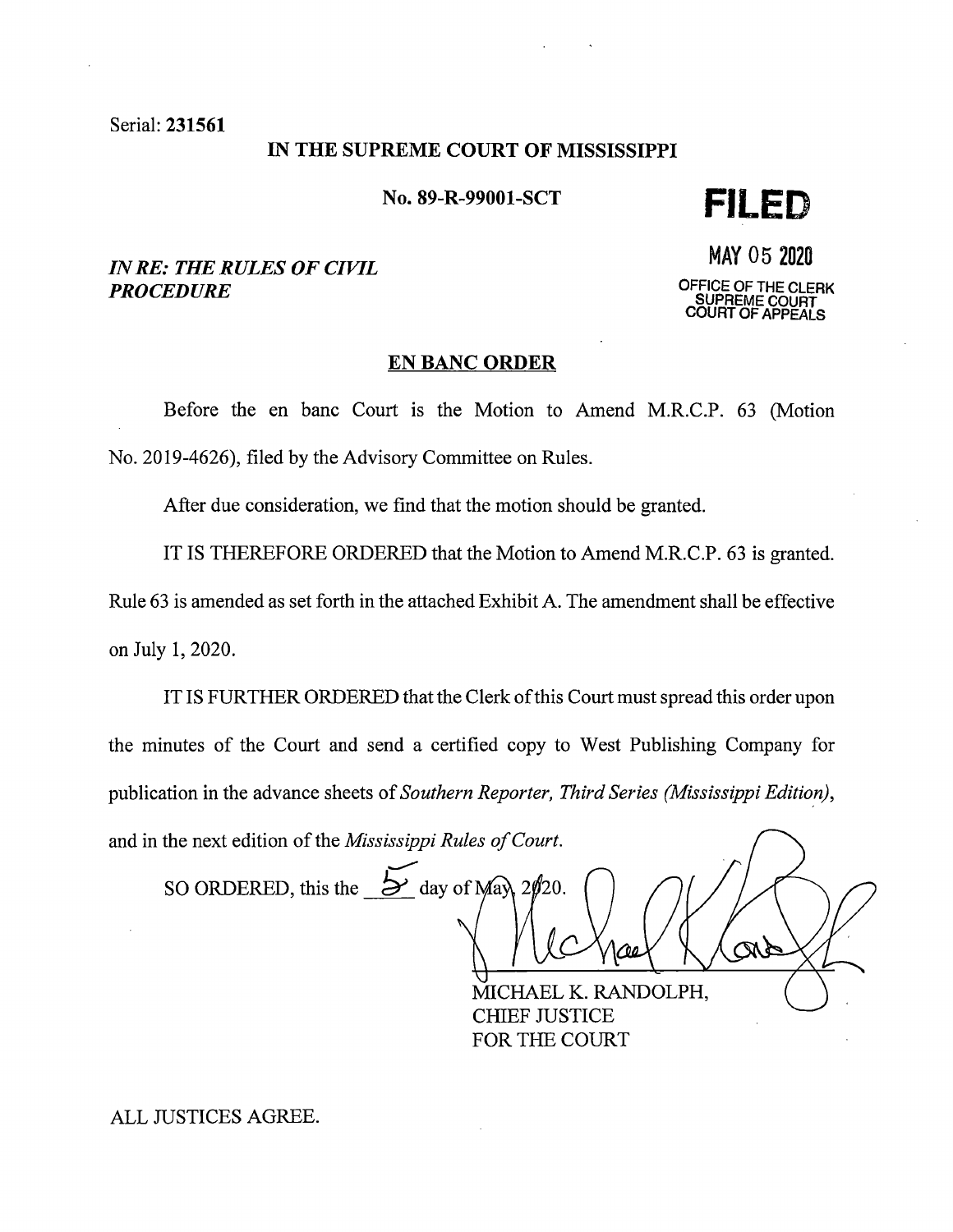Serial: 231561

#### IN THE SUPREME COURT OF MISSISSIPPI

No. 89-R-99001-SCT

**FILED** 

# *IN RE: THE RULES OF CIVIL PROCEDURE*

MAY 05 <sup>2020</sup> **OFFICE OF THE CLERK SUPREME COURT COURT OF APPEALS** 

### **EN BANC ORDER**

Before the en bane Court is the Motion to Amend M.R.C.P. 63 (Motion No. 2019-4626), filed by the Advisory Committee on Rules.

After due consideration, we find that the motion should be granted.

IT IS THEREFORE ORDERED that the Motion to Amend M.R.C.P. 63 is granted.

Rule 63 is amended as set forth in the attached Exhibit A. The amendment shall be effective on July 1, 2020.

IT IS FURTHER ORDERED that the Clerk of this Court must spread this order upon the minutes of the Court and send a certified copy to West Publishing Company for publication in the advance sheets of *Southern Reporter, Third Series (Mississippi Edition)*, and in the next edition of the *Mississippi Rules of Court.* 

SO ORDERED, this the  $\frac{1}{2}$  day of May 2 $\rlap{/}20$ . <u>ra</u>

MICHAEL K. RANDOLPH, CHIEF JUSTICE FOR THE COURT

ALL JUSTICES AGREE.